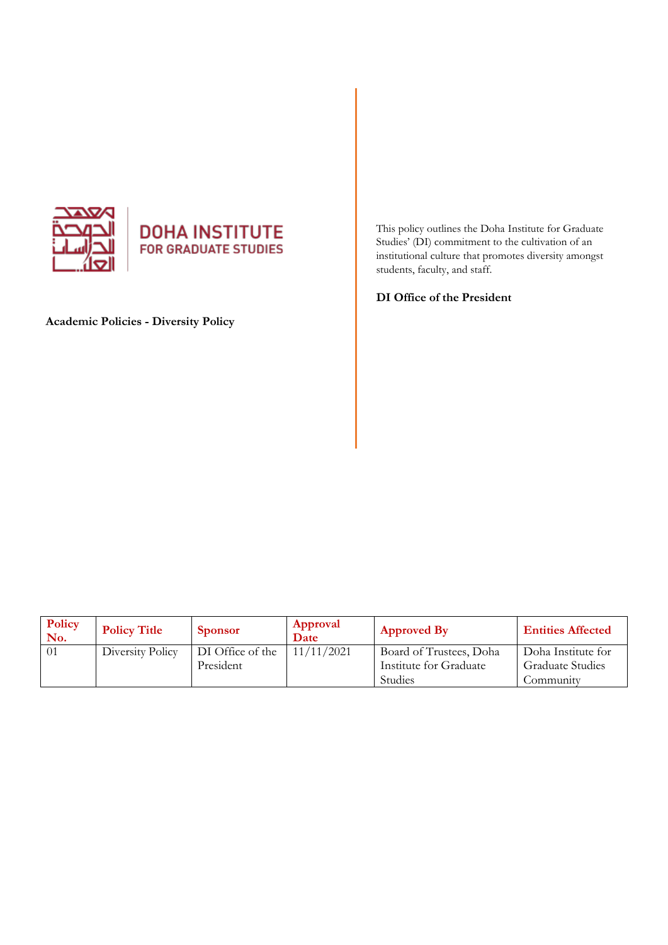

# **DOHA INSTITUTE**<br>FOR GRADUATE STUDIES

**Academic Policies - Diversity Policy** 

This policy outlines the Doha Institute for Graduate Studies' (DI) commitment to the cultivation of an institutional culture that promotes diversity amongst students, faculty, and staff.

**DI Office of the President** 

| Policy<br>No. | <b>Policy Title</b> | <b>Sponsor</b>   | Approval<br>Date | <b>Approved By</b>      | <b>Entities Affected</b> |
|---------------|---------------------|------------------|------------------|-------------------------|--------------------------|
| 01            | Diversity Policy    | DI Office of the | 11/11/2021       | Board of Trustees, Doha | Doha Institute for       |
|               |                     | President        |                  | Institute for Graduate  | <b>Graduate Studies</b>  |
|               |                     |                  |                  | <b>Studies</b>          | Community                |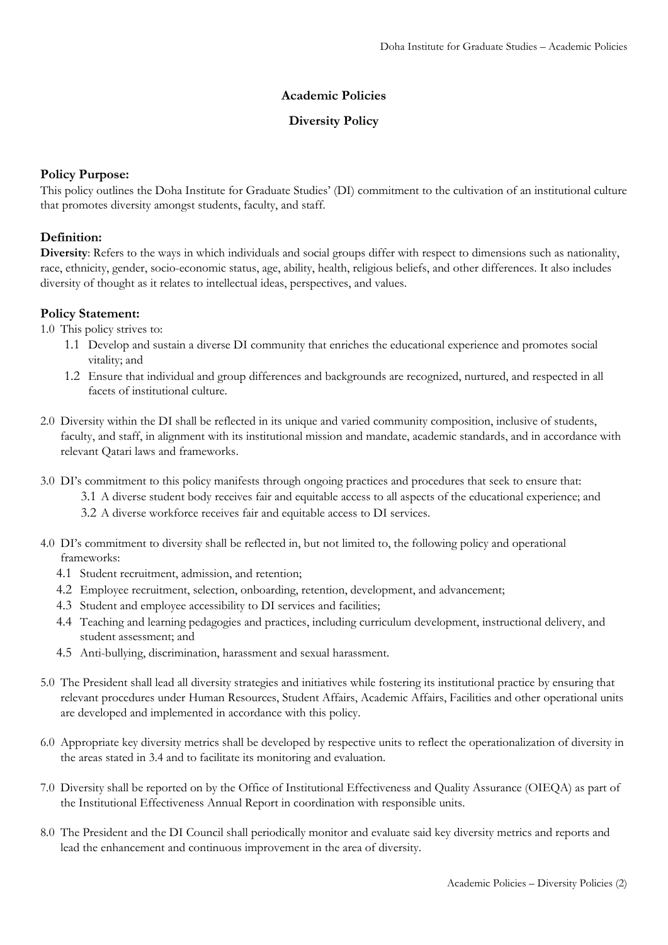## **Academic Policies**

### **Diversity Policy**

### **Policy Purpose:**

This policy outlines the Doha Institute for Graduate Studies' (DI) commitment to the cultivation of an institutional culture that promotes diversity amongst students, faculty, and staff.

## **Definition:**

**Diversity**: Refers to the ways in which individuals and social groups differ with respect to dimensions such as nationality, race, ethnicity, gender, socio-economic status, age, ability, health, religious beliefs, and other differences. It also includes diversity of thought as it relates to intellectual ideas, perspectives, and values.

## **Policy Statement:**

1.0 This policy strives to:

- 1.1 Develop and sustain a diverse DI community that enriches the educational experience and promotes social vitality; and
- 1.2 Ensure that individual and group differences and backgrounds are recognized, nurtured, and respected in all facets of institutional culture.
- 2.0 Diversity within the DI shall be reflected in its unique and varied community composition, inclusive of students, faculty, and staff, in alignment with its institutional mission and mandate, academic standards, and in accordance with relevant Qatari laws and frameworks.
- 3.0 DI's commitment to this policy manifests through ongoing practices and procedures that seek to ensure that: 3.1 A diverse student body receives fair and equitable access to all aspects of the educational experience; and 3.2 A diverse workforce receives fair and equitable access to DI services.
- 4.0 DI's commitment to diversity shall be reflected in, but not limited to, the following policy and operational frameworks:
	- 4.1 Student recruitment, admission, and retention;
	- 4.2 Employee recruitment, selection, onboarding, retention, development, and advancement;
	- 4.3 Student and employee accessibility to DI services and facilities;
	- 4.4 Teaching and learning pedagogies and practices, including curriculum development, instructional delivery, and student assessment; and
	- 4.5 Anti-bullying, discrimination, harassment and sexual harassment.
- 5.0 The President shall lead all diversity strategies and initiatives while fostering its institutional practice by ensuring that relevant procedures under Human Resources, Student Affairs, Academic Affairs, Facilities and other operational units are developed and implemented in accordance with this policy.
- 6.0 Appropriate key diversity metrics shall be developed by respective units to reflect the operationalization of diversity in the areas stated in 3.4 and to facilitate its monitoring and evaluation.
- 7.0 Diversity shall be reported on by the Office of Institutional Effectiveness and Quality Assurance (OIEQA) as part of the Institutional Effectiveness Annual Report in coordination with responsible units.
- 8.0 The President and the DI Council shall periodically monitor and evaluate said key diversity metrics and reports and lead the enhancement and continuous improvement in the area of diversity.